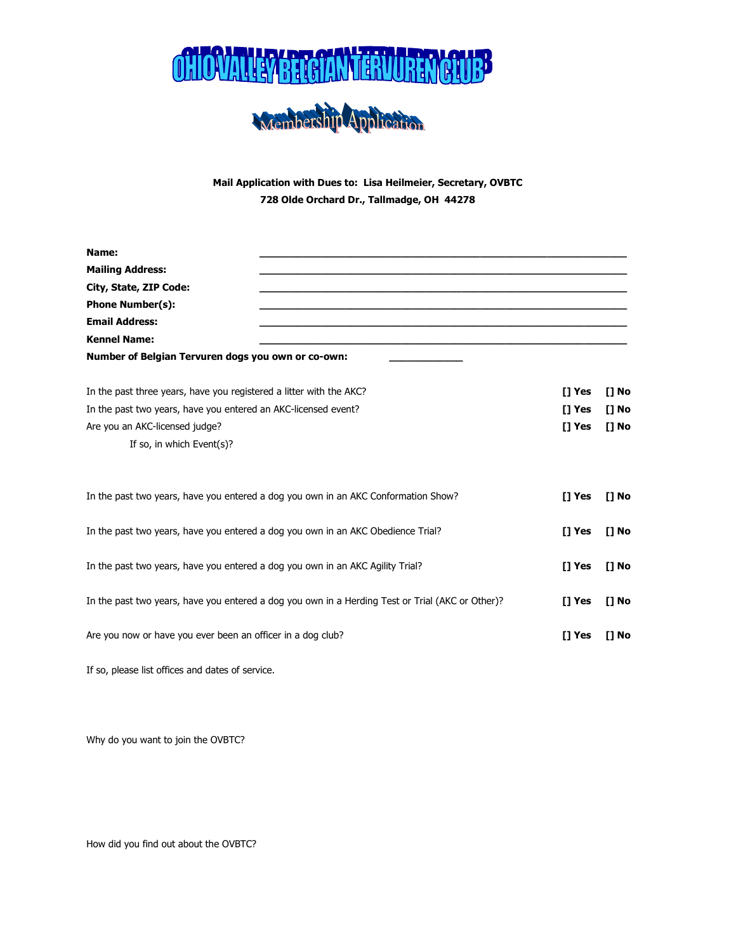



Mail Application with Dues to: Lisa Heilmeier, Secretary, OVBTC 728 Olde Orchard Dr., Tallmadge, OH 44278

| Name:                                                                          |                                                                                                                  | [] Yes<br>$[]$ No<br>[] Yes<br>$[]$ No<br>[] Yes<br>$[]$ No |
|--------------------------------------------------------------------------------|------------------------------------------------------------------------------------------------------------------|-------------------------------------------------------------|
| <b>Mailing Address:</b>                                                        |                                                                                                                  |                                                             |
| City, State, ZIP Code:                                                         |                                                                                                                  |                                                             |
| <b>Phone Number(s):</b>                                                        |                                                                                                                  |                                                             |
| <b>Email Address:</b>                                                          |                                                                                                                  |                                                             |
| <b>Kennel Name:</b>                                                            |                                                                                                                  |                                                             |
| Number of Belgian Tervuren dogs you own or co-own:                             |                                                                                                                  |                                                             |
| In the past three years, have you registered a litter with the AKC?            |                                                                                                                  |                                                             |
| In the past two years, have you entered an AKC-licensed event?                 |                                                                                                                  |                                                             |
| Are you an AKC-licensed judge?                                                 |                                                                                                                  |                                                             |
| If so, in which Event(s)?                                                      |                                                                                                                  |                                                             |
|                                                                                | In the past two years, have you entered a dog you own in an AKC Conformation Show?<br><b>ITYes</b>               | [] No                                                       |
|                                                                                | In the past two years, have you entered a dog you own in an AKC Obedience Trial?<br>[] Yes                       | $[]$ No                                                     |
| In the past two years, have you entered a dog you own in an AKC Agility Trial? | [] Yes                                                                                                           | $[]$ No                                                     |
|                                                                                | In the past two years, have you entered a dog you own in a Herding Test or Trial (AKC or Other)?<br><b>ITYes</b> | [] No                                                       |
| Are you now or have you ever been an officer in a dog club?                    | <b>ITYes</b>                                                                                                     | [] No                                                       |
|                                                                                |                                                                                                                  |                                                             |

If so, please list offices and dates of service.

Why do you want to join the OVBTC?

How did you find out about the OVBTC?